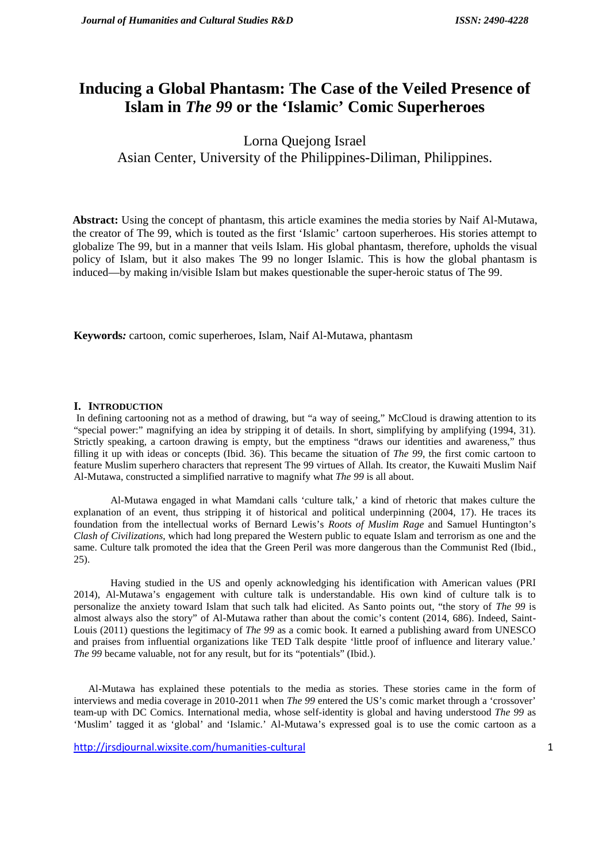# **Inducing a Global Phantasm: The Case of the Veiled Presence of Islam in** *The 99* **or the 'Islamic' Comic Superheroes**

Lorna Quejong Israel Asian Center, University of the Philippines-Diliman, Philippines.

**Abstract:** Using the concept of phantasm, this article examines the media stories by Naif Al-Mutawa, the creator of The 99, which is touted as the first 'Islamic' cartoon superheroes. His stories attempt to globalize The 99, but in a manner that veils Islam. His global phantasm, therefore, upholds the visual policy of Islam, but it also makes The 99 no longer Islamic. This is how the global phantasm is induced—by making in/visible Islam but makes questionable the super-heroic status of The 99.

**Keywords***:* cartoon, comic superheroes, Islam, Naif Al-Mutawa, phantasm

#### **I. INTRODUCTION**

In defining cartooning not as a method of drawing, but "a way of seeing," McCloud is drawing attention to its "special power:" magnifying an idea by stripping it of details. In short, simplifying by amplifying (1994, 31). Strictly speaking, a cartoon drawing is empty, but the emptiness "draws our identities and awareness," thus filling it up with ideas or concepts (Ibid. 36). This became the situation of *The 99*, the first comic cartoon to feature Muslim superhero characters that represent The 99 virtues of Allah. Its creator, the Kuwaiti Muslim Naif Al-Mutawa, constructed a simplified narrative to magnify what *The 99* is all about.

Al-Mutawa engaged in what Mamdani calls 'culture talk,' a kind of rhetoric that makes culture the explanation of an event, thus stripping it of historical and political underpinning (2004, 17). He traces its foundation from the intellectual works of Bernard Lewis's *Roots of Muslim Rage* and Samuel Huntington's *Clash of Civilizations*, which had long prepared the Western public to equate Islam and terrorism as one and the same. Culture talk promoted the idea that the Green Peril was more dangerous than the Communist Red (Ibid., 25).

Having studied in the US and openly acknowledging his identification with American values (PRI 2014), Al-Mutawa's engagement with culture talk is understandable. His own kind of culture talk is to personalize the anxiety toward Islam that such talk had elicited. As Santo points out, "the story of *The 99* is almost always also the story" of Al-Mutawa rather than about the comic's content (2014, 686). Indeed, Saint- Louis (2011) questions the legitimacy of *The 99* as a comic book. It earned a publishing award from UNESCO and praises from influential organizations like TED Talk despite 'little proof of influence and literary value.' *The 99* became valuable, not for any result, but for its "potentials" (Ibid.).

Al-Mutawa has explained these potentials to the media as stories. These stories came in the form of interviews and media coverage in 2010-2011 when *The 99* entered the US's comic market through a 'crossover' team-up with DC Comics. International media, whose self-identity is global and having understood *The 99* as 'Muslim' tagged it as 'global' and 'Islamic.' Al-Mutawa's expressed goal is to use the comic cartoon as a

http://jrsdjournal.wixsite.com/humanities-cultural 1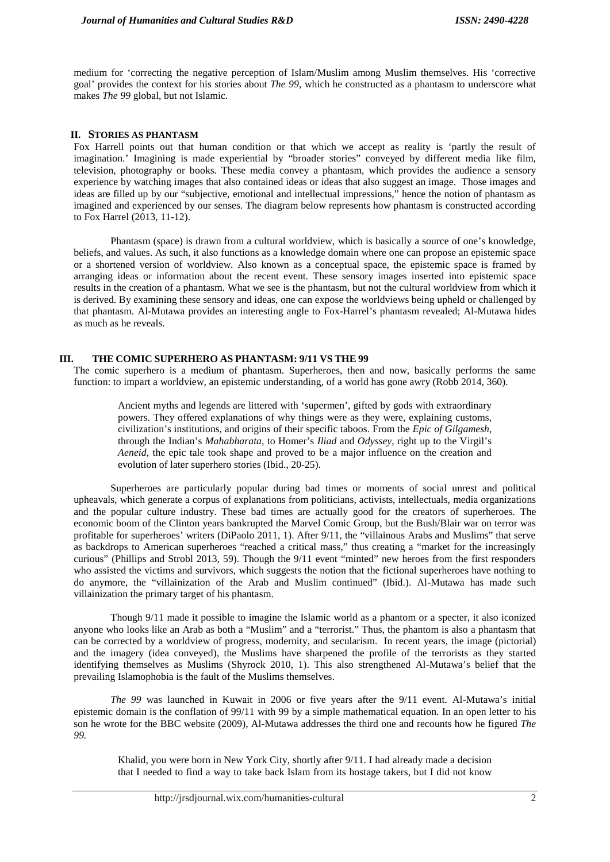medium for 'correcting the negative perception of Islam/Muslim among Muslim themselves. His 'corrective goal' provides the context for his stories about *The 99*, which he constructed as a phantasm to underscore what makes *The 99* global, but not Islamic.

## **II. STORIES AS PHANTASM**

Fox Harrell points out that human condition or that which we accept as reality is 'partly the result of imagination.' Imagining is made experiential by "broader stories" conveyed by different media like film, television, photography or books. These media convey a phantasm, which provides the audience a sensory experience by watching images that also contained ideas or ideas that also suggest an image. Those images and ideas are filled up by our "subjective, emotional and intellectual impressions," hence the notion of phantasm as imagined and experienced by our senses. The diagram below represents how phantasm is constructed according to Fox Harrel (2013, 11-12).

Phantasm (space) is drawn from a cultural worldview, which is basically a source of one's knowledge, beliefs, and values. As such, it also functions as a knowledge domain where one can propose an epistemic space or a shortened version of worldview. Also known as a conceptual space, the epistemic space is framed by arranging ideas or information about the recent event. These sensory images inserted into epistemic space results in the creation of a phantasm. What we see is the phantasm, but not the cultural worldview from which it is derived. By examining these sensory and ideas, one can expose the worldviews being upheld or challenged by that phantasm. Al-Mutawa provides an interesting angle to Fox-Harrel's phantasm revealed; Al-Mutawa hides as much as he reveals.

#### **III. THE COMIC SUPERHERO AS PHANTASM: 9/11 VS THE 99**

The comic superhero is a medium of phantasm. Superheroes, then and now, basically performs the same function: to impart a worldview, an epistemic understanding, of a world has gone awry (Robb 2014, 360).

Ancient myths and legends are littered with 'supermen', gifted by gods with extraordinary powers. They offered explanations of why things were as they were, explaining customs, civilization's institutions, and origins of their specific taboos. From the *Epic of Gilgamesh*, through the Indian's *Mahabharata*, to Homer's *Iliad* and *Odyssey*, right up to the Virgil's *Aeneid*, the epic tale took shape and proved to be a major influence on the creation and evolution of later superhero stories (Ibid., 20-25).

Superheroes are particularly popular during bad times or moments of social unrest and political upheavals, which generate a corpus of explanations from politicians, activists, intellectuals, media organizations and the popular culture industry. These bad times are actually good for the creators of superheroes. The economic boom of the Clinton years bankrupted the Marvel Comic Group, but the Bush/Blair war on terror was profitable for superheroes' writers (DiPaolo 2011, 1). After 9/11, the "villainous Arabs and Muslims" that serve as backdrops to American superheroes "reached a critical mass," thus creating a "market for the increasingly curious" (Phillips and Strobl 2013, 59). Though the 9/11 event "minted" new heroes from the first responders who assisted the victims and survivors, which suggests the notion that the fictional superheroes have nothing to do anymore, the "villainization of the Arab and Muslim continued" (Ibid.). Al-Mutawa has made such villainization the primary target of his phantasm.

Though 9/11 made it possible to imagine the Islamic world as a phantom or a specter, it also iconized anyone who looks like an Arab as both a "Muslim" and a "terrorist." Thus, the phantom is also a phantasm that can be corrected by a worldview of progress, modernity, and secularism. In recent years, the image (pictorial) and the imagery (idea conveyed), the Muslims have sharpened the profile of the terrorists as they started identifying themselves as Muslims (Shyrock 2010, 1). This also strengthened Al-Mutawa's belief that the prevailing Islamophobia is the fault of the Muslims themselves.

*The 99* was launched in Kuwait in 2006 or five years after the 9/11 event. Al-Mutawa's initial epistemic domain is the conflation of 99/11 with 99 by a simple mathematical equation. In an open letter to his son he wrote for the BBC website (2009), Al-Mutawa addresses the third one and recounts how he figured *The 99.*

Khalid, you were born in New York City, shortly after 9/11. I had already made a decision that I needed to find a way to take back Islam from its hostage takers, but I did not know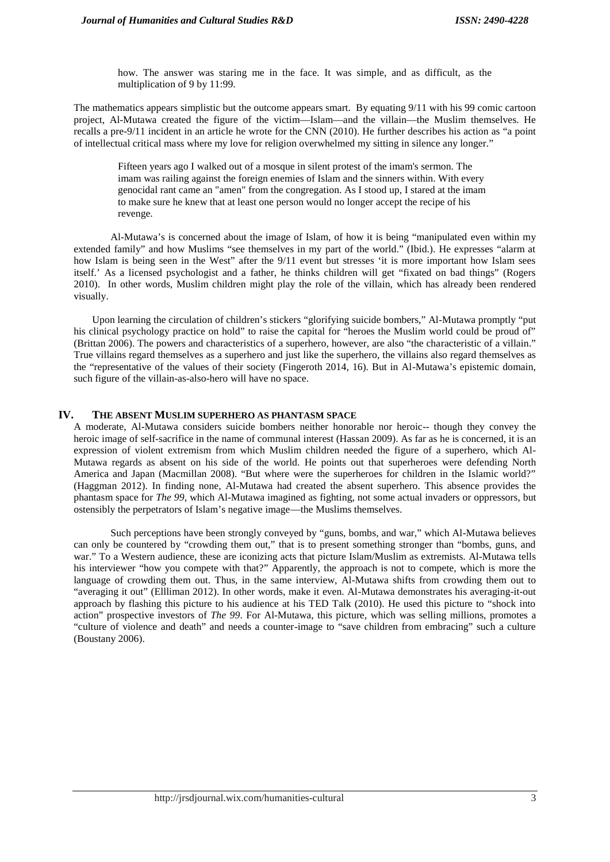how. The answer was staring me in the face. It was simple, and as difficult, as the multiplication of 9 by 11:99.

The mathematics appears simplistic but the outcome appears smart. By equating 9/11 with his 99 comic cartoon project, Al-Mutawa created the figure of the victim—Islam—and the villain—the Muslim themselves. He recalls a pre-9/11 incident in an article he wrote for the CNN (2010). He further describes his action as "a point of intellectual critical mass where my love for religion overwhelmed my sitting in silence any longer."

Fifteen years ago I walked out of a mosque in silent protest of the imam's sermon. The imam was railing against the foreign enemies of Islam and the sinners within. With every genocidal rant came an "amen" from the congregation. As I stood up, I stared at the imam to make sure he knew that at least one person would no longer accept the recipe of his revenge.

Al-Mutawa's is concerned about the image of Islam, of how it is being "manipulated even within my extended family" and how Muslims "see themselves in my part of the world." (Ibid.). He expresses "alarm at how Islam is being seen in the West" after the 9/11 event but stresses 'it is more important how Islam sees itself.' As a licensed psychologist and a father, he thinks children will get "fixated on bad things" (Rogers 2010). In other words, Muslim children might play the role of the villain, which has already been rendered visually.

Upon learning the circulation of children's stickers "glorifying suicide bombers," Al-Mutawa promptly "put his clinical psychology practice on hold" to raise the capital for "heroes the Muslim world could be proud of" (Brittan 2006). The powers and characteristics of a superhero, however, are also "the characteristic of a villain." True villains regard themselves as a superhero and just like the superhero, the villains also regard themselves as the "representative of the values of their society (Fingeroth 2014, 16). But in Al-Mutawa's epistemic domain, such figure of the villain-as-also-hero will have no space.

# **IV. THE ABSENT MUSLIM SUPERHERO AS PHANTASM SPACE**

A moderate, Al-Mutawa considers suicide bombers neither honorable nor heroic-- though they convey the heroic image of self-sacrifice in the name of communal interest (Hassan 2009). As far as he is concerned, it is an expression of violent extremism from which Muslim children needed the figure of a superhero, which Al- Mutawa regards as absent on his side of the world. He points out that superheroes were defending North America and Japan (Macmillan 2008). "But where were the superheroes for children in the Islamic world?" (Haggman 2012). In finding none, Al-Mutawa had created the absent superhero. This absence provides the phantasm space for *The 99*, which Al-Mutawa imagined as fighting, not some actual invaders or oppressors, but ostensibly the perpetrators of Islam's negative image—the Muslims themselves.

Such perceptions have been strongly conveyed by "guns, bombs, and war," which Al-Mutawa believes can only be countered by "crowding them out," that is to present something stronger than "bombs, guns, and war." To a Western audience, these are iconizing acts that picture Islam/Muslim as extremists. Al-Mutawa tells his interviewer "how you compete with that?" Apparently, the approach is not to compete, which is more the language of crowding them out. Thus, in the same interview, Al-Mutawa shifts from crowding them out to "averaging it out" (Ellliman 2012). In other words, make it even. Al-Mutawa demonstrates his averaging-it-out approach by flashing this picture to his audience at his TED Talk (2010). He used this picture to "shock into action" prospective investors of *The 99*. For Al-Mutawa, this picture, which was selling millions, promotes a "culture of violence and death" and needs a counter-image to "save children from embracing" such a culture (Boustany 2006).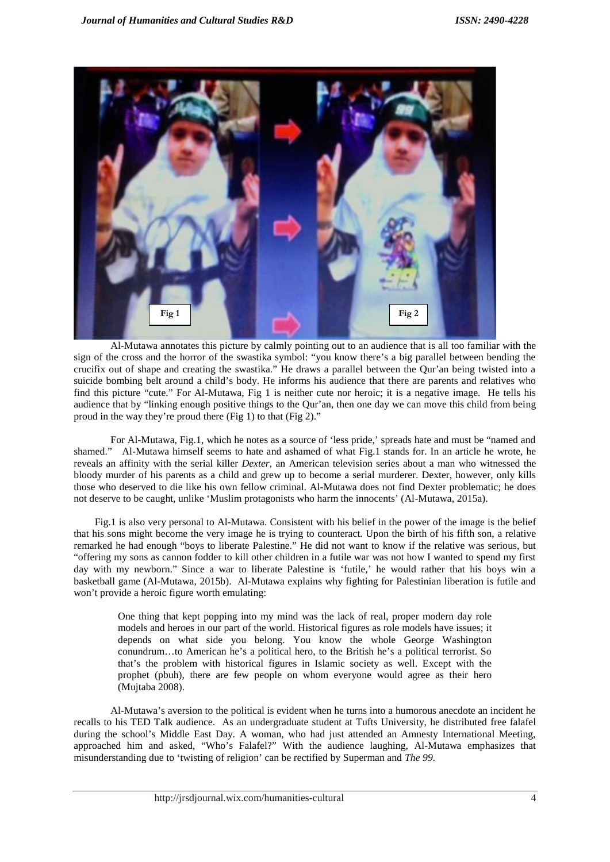

Al-Mutawa annotates this picture by calmly pointing out to an audience that is all too familiar with the sign of the cross and the horror of the swastika symbol: "you know there's a big parallel between bending the crucifix out of shape and creating the swastika." He draws a parallel between the Qur'an being twisted into a suicide bombing belt around a child's body. He informs his audience that there are parents and relatives who find this picture "cute." For Al-Mutawa, Fig 1 is neither cute nor heroic; it is a negative image. He tells his audience that by "linking enough positive things to the Qur'an, then one day we can move this child from being proud in the way they're proud there (Fig 1) to that (Fig 2)."

For Al-Mutawa, Fig.1, which he notes as a source of 'less pride,' spreads hate and must be "named and shamed." Al-Mutawa himself seems to hate and ashamed of what Fig.1 stands for. In an article he wrote, he reveals an affinity with the serial killer *Dexter*, an American television series about a man who witnessed the bloody murder of his parents as a child and grew up to become a serial murderer. Dexter, however, only kills those who deserved to die like his own fellow criminal. Al-Mutawa does not find Dexter problematic; he does not deserve to be caught, unlike 'Muslim protagonists who harm the innocents' (Al-Mutawa, 2015a).

Fig.1 is also very personal to Al-Mutawa. Consistent with his belief in the power of the image is the belief that his sons might become the very image he is trying to counteract. Upon the birth of his fifth son, a relative remarked he had enough "boys to liberate Palestine." He did not want to know if the relative was serious, but "offering my sons as cannon fodder to kill other children in a futile war was not how I wanted to spend my first day with my newborn." Since a war to liberate Palestine is 'futile,' he would rather that his boys win a basketball game (Al-Mutawa, 2015b). Al-Mutawa explains why fighting for Palestinian liberation is futile and won't provide a heroic figure worth emulating:

One thing that kept popping into my mind was the lack of real, proper modern day role models and heroes in our part of the world. Historical figures as role models have issues; it depends on what side you belong. You know the whole George Washington conundrum…to American he's a political hero, to the British he's a political terrorist. So that's the problem with historical figures in Islamic society as well. Except with the prophet (pbuh), there are few people on whom everyone would agree as their hero (Mujtaba 2008).

Al-Mutawa's aversion to the political is evident when he turns into a humorous anecdote an incident he recalls to his TED Talk audience. As an undergraduate student at Tufts University, he distributed free falafel during the school's Middle East Day. A woman, who had just attended an Amnesty International Meeting, approached him and asked, "Who's Falafel?" With the audience laughing, Al-Mutawa emphasizes that misunderstanding due to 'twisting of religion' can be rectified by Superman and *The 99.*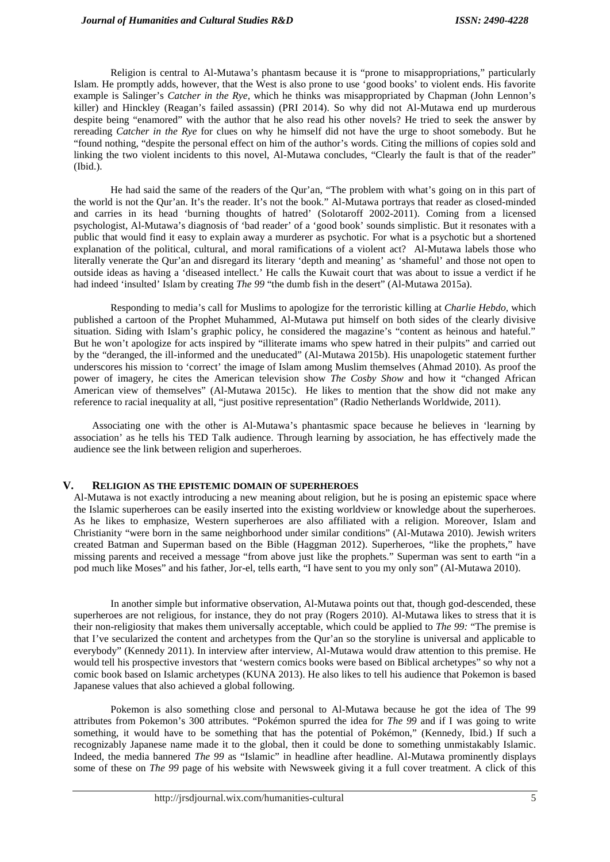Religion is central to Al-Mutawa's phantasm because it is "prone to misappropriations," particularly Islam. He promptly adds, however, that the West is also prone to use 'good books' to violent ends. His favorite example is Salinger's *Catcher in the Rye*, which he thinks was misappropriated by Chapman (John Lennon's killer) and Hinckley (Reagan's failed assassin) (PRI 2014). So why did not Al-Mutawa end up murderous despite being "enamored" with the author that he also read his other novels? He tried to seek the answer by rereading *Catcher in the Rye* for clues on why he himself did not have the urge to shoot somebody. But he "found nothing, "despite the personal effect on him of the author's words. Citing the millions of copies sold and linking the two violent incidents to this novel, Al-Mutawa concludes, "Clearly the fault is that of the reader" (Ibid.).

He had said the same of the readers of the Qur'an, "The problem with what's going on in this part of the world is not the Qur'an. It's the reader. It's not the book." Al-Mutawa portrays that reader as closed-minded and carries in its head 'burning thoughts of hatred' (Solotaroff 2002-2011). Coming from a licensed psychologist, Al-Mutawa's diagnosis of 'bad reader' of a 'good book' sounds simplistic. But it resonates with a public that would find it easy to explain away a murderer as psychotic. For what is a psychotic but a shortened explanation of the political, cultural, and moral ramifications of a violent act? Al-Mutawa labels those who literally venerate the Qur'an and disregard its literary 'depth and meaning' as 'shameful' and those not open to outside ideas as having a 'diseased intellect.' He calls the Kuwait court that was about to issue a verdict if he had indeed 'insulted' Islam by creating *The 99* "the dumb fish in the desert" (Al-Mutawa 2015a).

Responding to media's call for Muslims to apologize for the terroristic killing at *Charlie Hebdo,* which published a cartoon of the Prophet Muhammed, Al-Mutawa put himself on both sides of the clearly divisive situation. Siding with Islam's graphic policy, he considered the magazine's "content as heinous and hateful." But he won't apologize for acts inspired by "illiterate imams who spew hatred in their pulpits" and carried out by the "deranged, the ill-informed and the uneducated" (Al-Mutawa 2015b). His unapologetic statement further underscores his mission to 'correct' the image of Islam among Muslim themselves (Ahmad 2010). As proof the power of imagery, he cites the American television show *The Cosby Show* and how it "changed African American view of themselves" (Al-Mutawa 2015c). He likes to mention that the show did not make any reference to racial inequality at all, "just positive representation" (Radio Netherlands Worldwide, 2011).

Associating one with the other is Al-Mutawa's phantasmic space because he believes in 'learning by association' as he tells his TED Talk audience. Through learning by association, he has effectively made the audience see the link between religion and superheroes.

#### **V. RELIGION AS THE EPISTEMIC DOMAIN OF SUPERHEROES**

Al-Mutawa is not exactly introducing a new meaning about religion, but he is posing an epistemic space where the Islamic superheroes can be easily inserted into the existing worldview or knowledge about the superheroes. As he likes to emphasize, Western superheroes are also affiliated with a religion. Moreover, Islam and Christianity "were born in the same neighborhood under similar conditions" (Al-Mutawa 2010). Jewish writers created Batman and Superman based on the Bible (Haggman 2012). Superheroes, "like the prophets," have missing parents and received a message "from above just like the prophets." Superman was sent to earth "in a pod much like Moses" and his father, Jor-el, tells earth, "I have sent to you my only son" (Al-Mutawa 2010).

In another simple but informative observation, Al-Mutawa points out that, though god-descended, these superheroes are not religious, for instance, they do not pray (Rogers 2010). Al-Mutawa likes to stress that it is their non-religiosity that makes them universally acceptable, which could be applied to *The 99:* "The premise is that I've secularized the content and archetypes from the Qur'an so the storyline is universal and applicable to everybody" (Kennedy 2011). In interview after interview, Al-Mutawa would draw attention to this premise. He would tell his prospective investors that 'western comics books were based on Biblical archetypes" so why not a comic book based on Islamic archetypes (KUNA 2013). He also likes to tell his audience that Pokemon is based Japanese values that also achieved a global following.

Pokemon is also something close and personal to Al-Mutawa because he got the idea of The 99 attributes from Pokemon's 300 attributes. "Pokémon spurred the idea for *The 99* and if I was going to write something, it would have to be something that has the potential of Pokémon," (Kennedy, Ibid.) If such a recognizably Japanese name made it to the global, then it could be done to something unmistakably Islamic. Indeed, the media bannered *The 99* as "Islamic" in headline after headline. Al-Mutawa prominently displays some of these on *The 99* page of his website with Newsweek giving it a full cover treatment. A click of this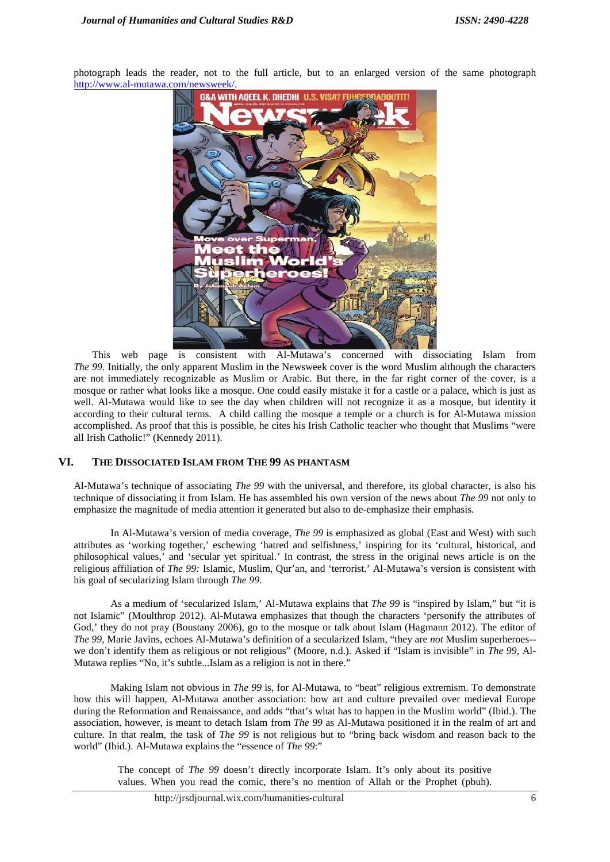photograph leads the reader, not to the full article, but to an enlarged version of the same photograph http://www.al-mutawa.com/newsweek/.



This web page is consistent with Al-Mutawa's concerned with dissociating Islam from *The 99.* Initially, the only apparent Muslim in the Newsweek cover is the word Muslim although the characters are not immediately recognizable as Muslim or Arabic. But there, in the far right corner of the cover, is a mosque or rather what looks like a mosque. One could easily mistake it for a castle or a palace, which is just as well. Al-Mutawa would like to see the day when children will not recognize it as a mosque, but identity it according to their cultural terms. A child calling the mosque a temple or a church is for Al-Mutawa mission accomplished. As proof that this is possible, he cites his Irish Catholic teacher who thought that Muslims "were all Irish Catholic!" (Kennedy 2011).

# **VI. THE DISSOCIATED ISLAM FROM THE 99 AS PHANTASM**

Al-Mutawa's technique of associating *The 99* with the universal, and therefore, its global character, is also his technique of dissociating it from Islam. He has assembled his own version of the news about *The 99* not only to emphasize the magnitude of media attention it generated but also to de-emphasize their emphasis.

In Al-Mutawa's version of media coverage, *The 99* is emphasized as global (East and West) with such attributes as 'working together,' eschewing 'hatred and selfishness,' inspiring for its 'cultural, historical, and philosophical values,' and 'secular yet spiritual.' In contrast, the stress in the original news article is on the religious affiliation of *The 99:* Islamic, Muslim, Qur'an, and 'terrorist.' Al-Mutawa's version is consistent with his goal of secularizing Islam through *The 99*.

As a medium of 'secularized Islam,' Al-Mutawa explains that *The 99* is "inspired by Islam," but "it is not Islamic" (Moulthrop 2012). Al-Mutawa emphasizes that though the characters 'personify the attributes of God,' they do not pray (Boustany 2006), go to the mosque or talk about Islam (Hagmann 2012). The editor of *The 99,* Marie Javins, echoes Al-Mutawa's definition of a secularized Islam, "they are *not* Muslim superheroes- we don't identify them as religious or not religious" (Moore, n.d.). Asked if "Islam is invisible" in *The 99*, Al- Mutawa replies "No, it's subtle...Islam as a religion is not in there."

Making Islam not obvious in *The 99* is, for Al-Mutawa, to "beat" religious extremism. To demonstrate how this will happen, Al-Mutawa another association: how art and culture prevailed over medieval Europe during the Reformation and Renaissance, and adds "that's what has to happen in the Muslim world" (Ibid.). The association, however, is meant to detach Islam from *The 99* as Al-Mutawa positioned it in the realm of art and culture. In that realm, the task of *The 99* is not religious but to "bring back wisdom and reason back to the world" (Ibid.). Al-Mutawa explains the "essence of *The 99*:"

The concept of *The 99* doesn't directly incorporate Islam. It's only about its positive values. When you read the comic, there's no mention of Allah or the Prophet (pbuh).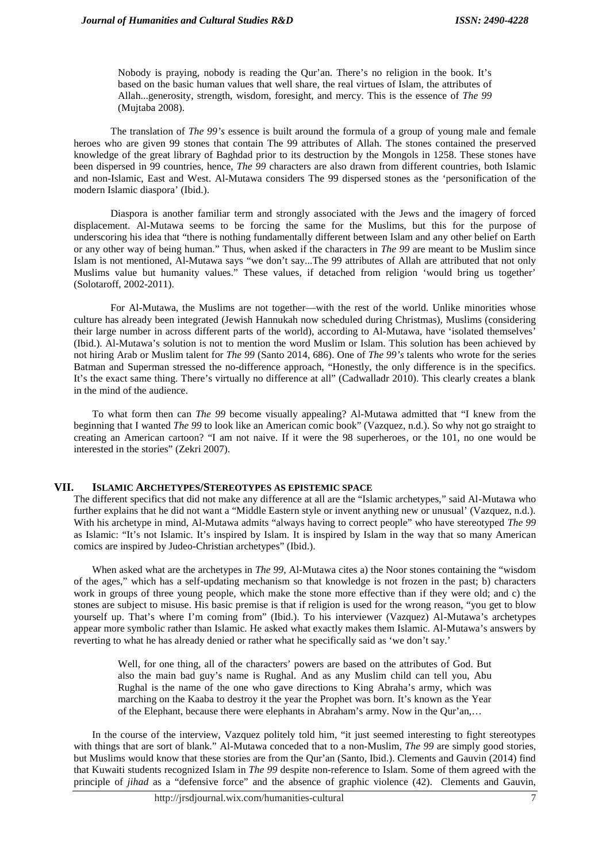Nobody is praying, nobody is reading the Qur'an. There's no religion in the book. It's based on the basic human values that well share, the real virtues of Islam, the attributes of Allah...generosity, strength, wisdom, foresight, and mercy. This is the essence of *The 99* (Mujtaba 2008).

The translation of *The 99's* essence is built around the formula of a group of young male and female heroes who are given 99 stones that contain The 99 attributes of Allah. The stones contained the preserved knowledge of the great library of Baghdad prior to its destruction by the Mongols in 1258. These stones have been dispersed in 99 countries, hence, *The 99* characters are also drawn from different countries, both Islamic and non-Islamic, East and West. Al-Mutawa considers The 99 dispersed stones as the 'personification of the modern Islamic diaspora' (Ibid.).

Diaspora is another familiar term and strongly associated with the Jews and the imagery of forced displacement. Al-Mutawa seems to be forcing the same for the Muslims, but this for the purpose of underscoring his idea that "there is nothing fundamentally different between Islam and any other belief on Earth or any other way of being human." Thus, when asked if the characters in *The 99* are meant to be Muslim since Islam is not mentioned, Al-Mutawa says "we don't say...The 99 attributes of Allah are attributed that not only Muslims value but humanity values." These values, if detached from religion 'would bring us together' (Solotaroff, 2002-2011).

For Al-Mutawa, the Muslims are not together—with the rest of the world. Unlike minorities whose culture has already been integrated (Jewish Hannukah now scheduled during Christmas), Muslims (considering their large number in across different parts of the world), according to Al-Mutawa, have 'isolated themselves' (Ibid.). Al-Mutawa's solution is not to mention the word Muslim or Islam. This solution has been achieved by not hiring Arab or Muslim talent for *The 99* (Santo 2014, 686). One of *The 99's* talents who wrote for the series Batman and Superman stressed the no-difference approach, "Honestly, the only difference is in the specifics. It's the exact same thing. There's virtually no difference at all" (Cadwalladr 2010). This clearly creates a blank in the mind of the audience.

To what form then can *The 99* become visually appealing? Al-Mutawa admitted that "I knew from the beginning that I wanted *The 99* to look like an American comic book" (Vazquez, n.d.). So why not go straight to creating an American cartoon? "I am not naive. If it were the 98 superheroes, or the 101, no one would be interested in the stories" (Zekri 2007).

# **VII. ISLAMIC ARCHETYPES/STEREOTYPES AS EPISTEMIC SPACE**

The different specifics that did not make any difference at all are the "Islamic archetypes," said Al-Mutawa who further explains that he did not want a "Middle Eastern style or invent anything new or unusual' (Vazquez, n.d.). With his archetype in mind, Al-Mutawa admits "always having to correct people" who have stereotyped *The 99* as Islamic: "It's not Islamic. It's inspired by Islam. It is inspired by Islam in the way that so many American comics are inspired by Judeo-Christian archetypes" (Ibid.).

When asked what are the archetypes in *The 99*, Al-Mutawa cites a) the Noor stones containing the "wisdom of the ages," which has a self-updating mechanism so that knowledge is not frozen in the past; b) characters work in groups of three young people, which make the stone more effective than if they were old; and c) the stones are subject to misuse. His basic premise is that if religion is used for the wrong reason, "you get to blow yourself up. That's where I'm coming from" (Ibid.). To his interviewer (Vazquez) Al-Mutawa's archetypes appear more symbolic rather than Islamic. He asked what exactly makes them Islamic. Al-Mutawa's answers by reverting to what he has already denied or rather what he specifically said as 'we don't say.'

Well, for one thing, all of the characters' powers are based on the attributes of God. But also the main bad guy's name is Rughal. And as any Muslim child can tell you, Abu Rughal is the name of the one who gave directions to King Abraha's army, which was marching on the Kaaba to destroy it the year the Prophet was born. It's known as the Year of the Elephant, because there were elephants in Abraham's army. Now in the Qur'an,…

In the course of the interview, Vazquez politely told him, "it just seemed interesting to fight stereotypes with things that are sort of blank." Al-Mutawa conceded that to a non-Muslim, *The 99* are simply good stories, but Muslims would know that these stories are from the Qur'an (Santo, Ibid.). Clements and Gauvin (2014) find that Kuwaiti students recognized Islam in *The 99* despite non-reference to Islam. Some of them agreed with the principle of *jihad* as a "defensive force" and the absence of graphic violence (42). Clements and Gauvin,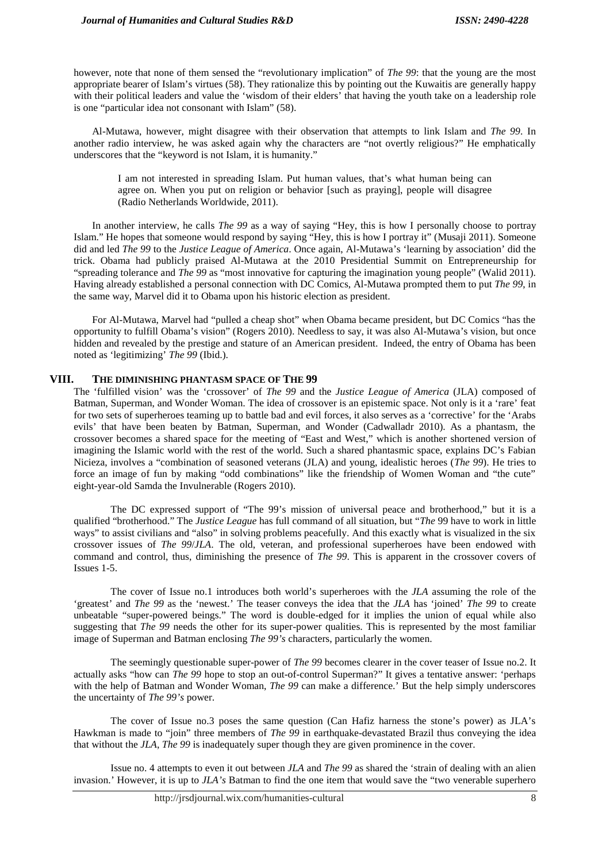however, note that none of them sensed the "revolutionary implication" of *The 99*: that the young are the most appropriate bearer of Islam's virtues (58). They rationalize this by pointing out the Kuwaitis are generally happy with their political leaders and value the 'wisdom of their elders' that having the youth take on a leadership role is one "particular idea not consonant with Islam" (58).

Al-Mutawa, however, might disagree with their observation that attempts to link Islam and *The 99*. In another radio interview, he was asked again why the characters are "not overtly religious?" He emphatically underscores that the "keyword is not Islam, it is humanity."

I am not interested in spreading Islam. Put human values, that's what human being can agree on. When you put on religion or behavior [such as praying], people will disagree (Radio Netherlands Worldwide, 2011).

In another interview, he calls *The 99* as a way of saying "Hey, this is how I personally choose to portray Islam." He hopes that someone would respond by saying "Hey, this is how I portray it" (Musaji 2011). Someone did and led *The 99* to the *Justice League of America*. Once again, Al-Mutawa's 'learning by association' did the trick. Obama had publicly praised Al-Mutawa at the 2010 Presidential Summit on Entrepreneurship for "spreading tolerance and *The 99* as "most innovative for capturing the imagination young people" (Walid 2011). Having already established a personal connection with DC Comics, Al-Mutawa prompted them to put *The 99*, in the same way, Marvel did it to Obama upon his historic election as president.

For Al-Mutawa, Marvel had "pulled a cheap shot" when Obama became president, but DC Comics "has the opportunity to fulfill Obama's vision" (Rogers 2010). Needless to say, it was also Al-Mutawa's vision, but once hidden and revealed by the prestige and stature of an American president. Indeed, the entry of Obama has been noted as 'legitimizing' *The 99* (Ibid.).

#### **VIII. THE DIMINISHING PHANTASM SPACE OF THE 99**

The 'fulfilled vision' was the 'crossover' of *The 99* and the *Justice League of America* (JLA) composed of Batman, Superman, and Wonder Woman. The idea of crossover is an epistemic space. Not only is it a 'rare' feat for two sets of superheroes teaming up to battle bad and evil forces, it also serves as a 'corrective' for the 'Arabs evils' that have been beaten by Batman, Superman, and Wonder (Cadwalladr 2010). As a phantasm, the crossover becomes a shared space for the meeting of "East and West," which is another shortened version of imagining the Islamic world with the rest of the world. Such a shared phantasmic space, explains DC's Fabian Nicieza, involves a "combination of seasoned veterans (JLA) and young, idealistic heroes (*The 99*). He tries to force an image of fun by making "odd combinations" like the friendship of Women Woman and "the cute" eight-year-old Samda the Invulnerable (Rogers 2010).

The DC expressed support of "The 99's mission of universal peace and brotherhood," but it is a qualified "brotherhood." The *Justice League* has full command of all situation, but "*The* 99 have to work in little ways" to assist civilians and "also" in solving problems peacefully. And this exactly what is visualized in the six crossover issues of *The 99*/*JLA*. The old, veteran, and professional superheroes have been endowed with command and control, thus, diminishing the presence of *The 99*. This is apparent in the crossover covers of Issues 1-5.

The cover of Issue no.1 introduces both world's superheroes with the *JLA* assuming the role of the 'greatest' and *The 99* as the 'newest.' The teaser conveys the idea that the *JLA* has 'joined' *The 99* to create unbeatable "super-powered beings." The word is double-edged for it implies the union of equal while also suggesting that *The 99* needs the other for its super-power qualities. This is represented by the most familiar image of Superman and Batman enclosing *The 99's* characters, particularly the women.

The seemingly questionable super-power of *The 99* becomes clearer in the cover teaser of Issue no.2. It actually asks "how can *The 99* hope to stop an out-of-control Superman?" It gives a tentative answer: 'perhaps with the help of Batman and Wonder Woman, *The 99* can make a difference.' But the help simply underscores the uncertainty of *The 99's* power.

The cover of Issue no.3 poses the same question (Can Hafiz harness the stone's power) as JLA's Hawkman is made to "join" three members of *The 99* in earthquake-devastated Brazil thus conveying the idea that without the *JLA*, *The 99* is inadequately super though they are given prominence in the cover.

Issue no. 4 attempts to even it out between *JLA* and *The 99* as shared the 'strain of dealing with an alien invasion.' However, it is up to *JLA's* Batman to find the one item that would save the "two venerable superhero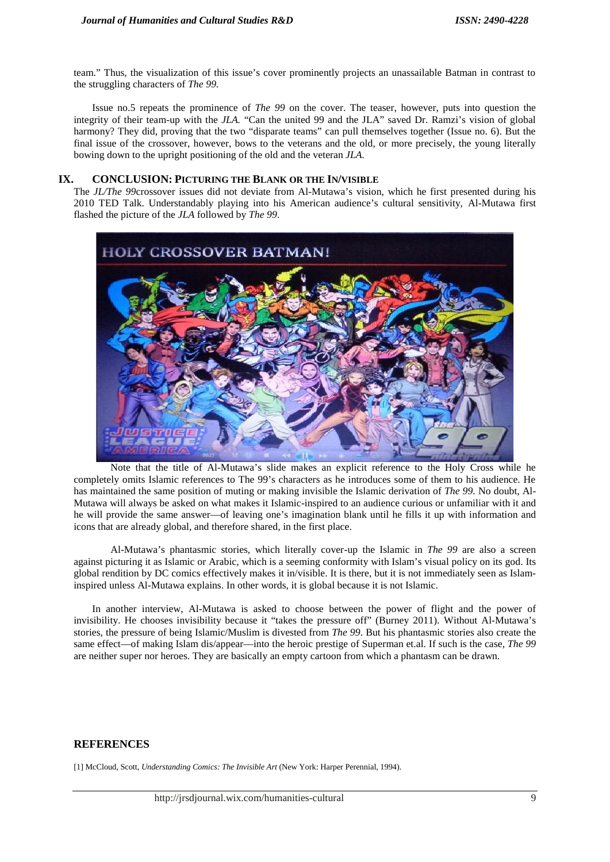team." Thus, the visualization of this issue's cover prominently projects an unassailable Batman in contrast to the struggling characters of *The 99.*

Issue no.5 repeats the prominence of *The 99* on the cover. The teaser, however, puts into question the integrity of their team-up with the *JLA.* "Can the united 99 and the JLA" saved Dr. Ramzi's vision of global harmony? They did, proving that the two "disparate teams" can pull themselves together (Issue no. 6). But the final issue of the crossover, however, bows to the veterans and the old, or more precisely, the young literally bowing down to the upright positioning of the old and the veteran *JLA.*

## **IX. CONCLUSION: PICTURING THE BLANK OR THE IN/VISIBLE**

The *JL/The 99*crossover issues did not deviate from Al-Mutawa's vision, which he first presented during his 2010 TED Talk. Understandably playing into his American audience's cultural sensitivity, Al-Mutawa first flashed the picture of the *JLA* followed by *The 99*.



Note that the title of Al-Mutawa's slide makes an explicit reference to the Holy Cross while he completely omits Islamic references to The 99's characters as he introduces some of them to his audience. He has maintained the same position of muting or making invisible the Islamic derivation of *The 99.* No doubt, Al- Mutawa will always be asked on what makes it Islamic-inspired to an audience curious or unfamiliar with it and he will provide the same answer—of leaving one's imagination blank until he fills it up with information and icons that are already global, and therefore shared, in the first place.

Al-Mutawa's phantasmic stories, which literally cover-up the Islamic in *The 99* are also a screen against picturing it as Islamic or Arabic, which is a seeming conformity with Islam's visual policy on its god. Its global rendition by DC comics effectively makes it in/visible. It is there, but it is not immediately seen as Islaminspired unless Al-Mutawa explains. In other words, it is global because it is not Islamic.

In another interview, Al-Mutawa is asked to choose between the power of flight and the power of invisibility. He chooses invisibility because it "takes the pressure off" (Burney 2011). Without Al-Mutawa's stories, the pressure of being Islamic/Muslim is divested from *The 99*. But his phantasmic stories also create the same effect—of making Islam dis/appear—into the heroic prestige of Superman et.al. If such is the case, *The 99* are neither super nor heroes. They are basically an empty cartoon from which a phantasm can be drawn.

# **REFERENCES**

[1] McCloud, Scott, *Understanding Comics: The Invisible Art* (New York: Harper Perennial, 1994).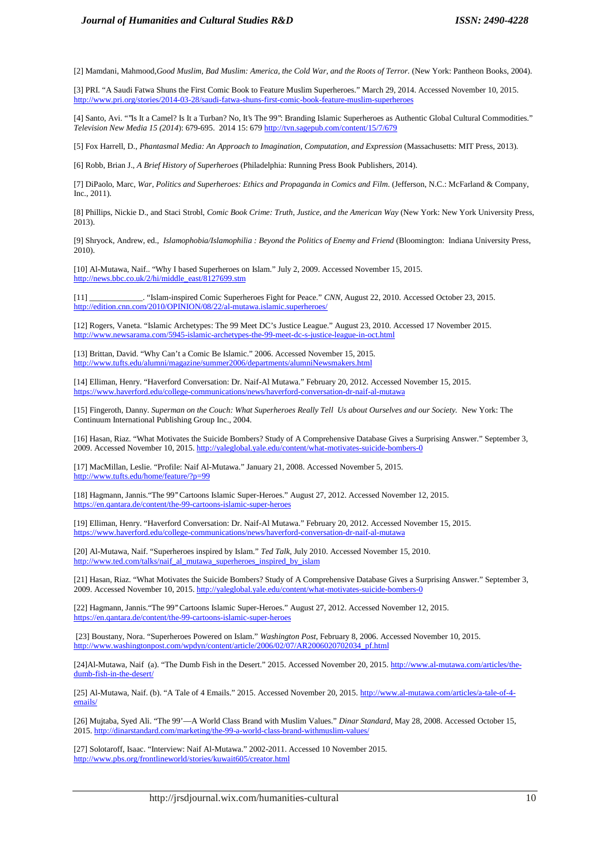[2] Mamdani, Mahmood,*Good Muslim, Bad Muslim: America, the Cold War, and the Roots of Terror.* (New York: Pantheon Books, 2004).

[3] PRI. "A Saudi Fatwa Shuns the First Comic Book to Feature Muslim Superheroes." March 29, 2014. Accessed November 10, 2015. http://www.pri.org/stories/2014-03-28/saudi-fatwa-shuns-first-comic-book-feature-muslim-superheroes

[4] Santo, Avi. "''Is It a Camel? Is It a Turban? No, It's The 99'': Branding Islamic Superheroes as Authentic Global Cultural Commodities." *Television New Media 15 (2014*): 679-695. 2014 15: 679 http://tvn.sagepub.com/content/15/7/679

[5] Fox Harrell, D., *Phantasmal Media: An Approach to Imagination, Computation, and Expression* (Massachusetts: MIT Press, 2013).

[6] Robb, Brian J., *A Brief History of Superheroes* (Philadelphia: Running Press Book Publishers, 2014).

[7] DiPaolo, Marc, *War, Politics and Superheroes: Ethics and Propaganda in Comics and Film*. (Jefferson, N.C.: McFarland & Company, Inc., 2011).

[8] Phillips, Nickie D., and Staci Strobl, *Comic Book Crime: Truth, Justice, and the American Way* (New York: New York University Press, 2013).

[9] Shryock, Andrew, ed., *Islamophobia/Islamophilia : Beyond the Politics of Enemy and Friend* (Bloomington: Indiana University Press, 2010).

[10] Al-Mutawa, Naif.. "Why I based Superheroes on Islam." July 2, 2009. Accessed November 15, 2015. http://news.bbc.co.uk/2/hi/middle\_east/8127699.stm

[11] \_\_\_\_\_\_\_\_\_\_\_\_\_. "Islam-inspired Comic Superheroes Fight for Peace." *CNN,* August 22, 2010. Accessed October 23, 2015. http://edition.cnn.com/2010/OPINION/08/22/al-mutawa.islamic.superheroes/

[12] Rogers, Vaneta. "Islamic Archetypes: The 99 Meet DC's Justice League." August 23, 2010. Accessed 17 November 2015. http://www.newsarama.com/5945-islamic-archetypes-the-99-meet-dc-s-justice-league-in-oct.html

[13] Brittan, David. "Why Can't a Comic Be Islamic." 2006. Accessed November 15, 2015. http://www.tufts.edu/alumni/magazine/summer2006/departments/alumniNewsmakers.html

[14] Elliman, Henry. "Haverford Conversation: Dr. Naif-Al Mutawa." February 20, 2012. Accessed November 15, 2015. https://www.haverford.edu/college-communications/news/haverford-conversation-dr-naif-al-mutawa

[15] Fingeroth, Danny. *Superman on the Couch: What Superheroes Really Tell Us about Ourselves and our Society.* New York: The Continuum International Publishing Group Inc., 2004.

[16] Hasan, Riaz. "What Motivates the Suicide Bombers? Study of A Comprehensive Database Gives a Surprising Answer." September 3, 2009. Accessed November 10, 2015. http://yaleglobal.yale.edu/content/what-motivates-suicide-bombers-0

[17] MacMillan, Leslie. "Profile: Naif Al-Mutawa." January 21, 2008. Accessed November 5, 2015. http://www.tufts.edu/home/feature/?p=99

[18] Hagmann, Jannis."The 99'' Cartoons Islamic Super-Heroes." August 27, 2012. Accessed November 12, 2015. https://en.qantara.de/content/the-99-cartoons-islamic-super-hero

[19] Elliman, Henry. "Haverford Conversation: Dr. Naif-Al Mutawa." February 20, 2012. Accessed November 15, 2015. https://www.haverford.edu/college-communications/news/haverford-conversation-dr-naif-al-mutawa

[20] Al-Mutawa, Naif. "Superheroes inspired by Islam." *Ted Talk*, July 2010. Accessed November 15, 2010. http://www.ted.com/talks/naif\_al\_mutawa\_superheroes\_inspired\_by\_islam

[21] Hasan, Riaz. "What Motivates the Suicide Bombers? Study of A Comprehensive Database Gives a Surprising Answer." September 3, 2009. Accessed November 10, 2015. http://yaleglobal.yale.edu/content/what-motivates-suicide-bombers-0

[22] Hagmann, Jannis."The 99'' Cartoons Islamic Super-Heroes." August 27, 2012. Accessed November 12, 2015. https://en.qantara.de/content/the-99-cartoons-islamic-super-heroes

[23] Boustany, Nora. "Superheroes Powered on Islam." *Washington Post*, February 8, 2006. Accessed November 10, 2015. http://www.washingtonpost.com/wpdyn/content/article/2006/02/07/AR2006020702034\_pf.html

[24]Al-Mutawa, Naif (a). "The Dumb Fish in the Desert." 2015. Accessed November 20, 2015. http://www.al-mutawa.com/articles/the dumb-fish-in-the-desert/

[25] Al-Mutawa, Naif. (b). "A Tale of 4 Emails." 2015. Accessed November 20, 2015. http://www.al-mutawa.com/articles/a-tale-of-4 emails/

[26] Mujtaba, Syed Ali. "The 99'—A World Class Brand with Muslim Values." *Dinar Standard,* May 28, 2008. Accessed October 15, 2015. http://dinarstandard.com/marketing/the-99-a-world-class-brand-withmuslim-values/

[27] Solotaroff, Isaac. "Interview: Naif Al-Mutawa." 2002-2011. Accessed 10 November 2015. http://www.pbs.org/frontlineworld/stories/kuwait605/creator.html